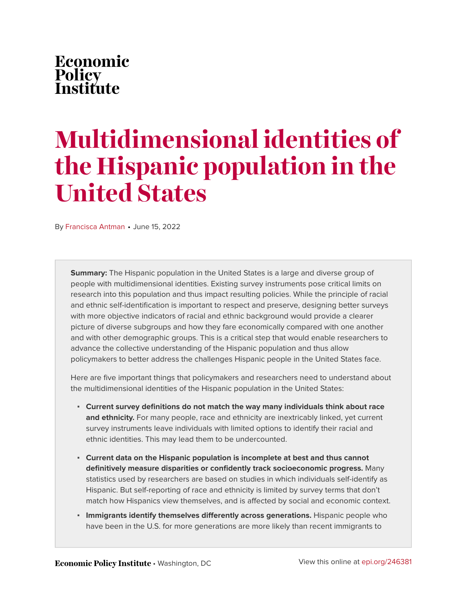## Economic Policy<br>Institute

# **Multidimensional identities of the Hispanic population in the United States**

By [Francisca Antman](https://www.epi.org/people/francisca-antman/) • June 15, 2022

**Summary:** The Hispanic population in the United States is a large and diverse group of people with multidimensional identities. Existing survey instruments pose critical limits on research into this population and thus impact resulting policies. While the principle of racial and ethnic self-identification is important to respect and preserve, designing better surveys with more objective indicators of racial and ethnic background would provide a clearer picture of diverse subgroups and how they fare economically compared with one another and with other demographic groups. This is a critical step that would enable researchers to advance the collective understanding of the Hispanic population and thus allow policymakers to better address the challenges Hispanic people in the United States face.

Here are five important things that policymakers and researchers need to understand about the multidimensional identities of the Hispanic population in the United States:

- **Current survey definitions do not match the way many individuals think about race and ethnicity.** For many people, race and ethnicity are inextricably linked, yet current survey instruments leave individuals with limited options to identify their racial and ethnic identities. This may lead them to be undercounted.
- **Current data on the Hispanic population is incomplete at best and thus cannot definitively measure disparities or confidently track socioeconomic progress.** Many statistics used by researchers are based on studies in which individuals self-identify as Hispanic. But self-reporting of race and ethnicity is limited by survey terms that don't match how Hispanics view themselves, and is affected by social and economic context.
- **Immigrants identify themselves differently across generations.** Hispanic people who have been in the U.S. for more generations are more likely than recent immigrants to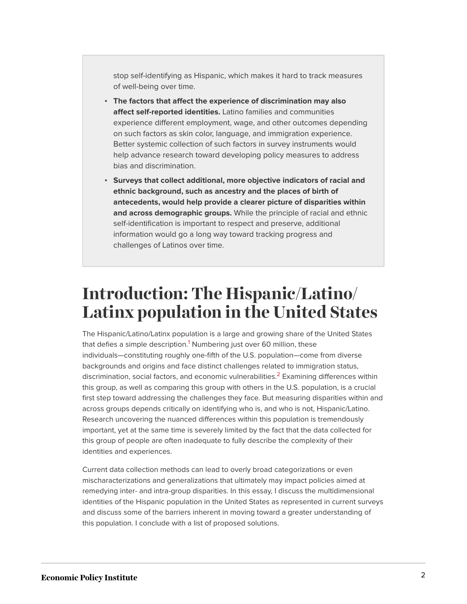stop self-identifying as Hispanic, which makes it hard to track measures of well-being over time.

- **The factors that affect the experience of discrimination may also affect self-reported identities.** Latino families and communities experience different employment, wage, and other outcomes depending on such factors as skin color, language, and immigration experience. Better systemic collection of such factors in survey instruments would help advance research toward developing policy measures to address bias and discrimination.
- **Surveys that collect additional, more objective indicators of racial and ethnic background, such as ancestry and the places of birth of antecedents, would help provide a clearer picture of disparities within and across demographic groups.** While the principle of racial and ethnic self-identification is important to respect and preserve, additional information would go a long way toward tracking progress and challenges of Latinos over time.

### **Introduction: The Hispanic/Latino/ Latinx population in the United States**

<span id="page-1-1"></span><span id="page-1-0"></span>The Hispanic/Latino/Latinx population is a large and growing share of the United States that defies a simple description.<sup>[1](#page-8-0)</sup> Numbering just over 60 million, these individuals—constituting roughly one-fifth of the U.S. population—come from diverse backgrounds and origins and face distinct challenges related to immigration status, discrimination, social factors, and economic vulnerabilities.<sup>[2](#page-8-1)</sup> Examining differences within this group, as well as comparing this group with others in the U.S. population, is a crucial first step toward addressing the challenges they face. But measuring disparities within and across groups depends critically on identifying who is, and who is not, Hispanic/Latino. Research uncovering the nuanced differences within this population is tremendously important, yet at the same time is severely limited by the fact that the data collected for this group of people are often inadequate to fully describe the complexity of their identities and experiences.

Current data collection methods can lead to overly broad categorizations or even mischaracterizations and generalizations that ultimately may impact policies aimed at remedying inter- and intra-group disparities. In this essay, I discuss the multidimensional identities of the Hispanic population in the United States as represented in current surveys and discuss some of the barriers inherent in moving toward a greater understanding of this population. I conclude with a list of proposed solutions.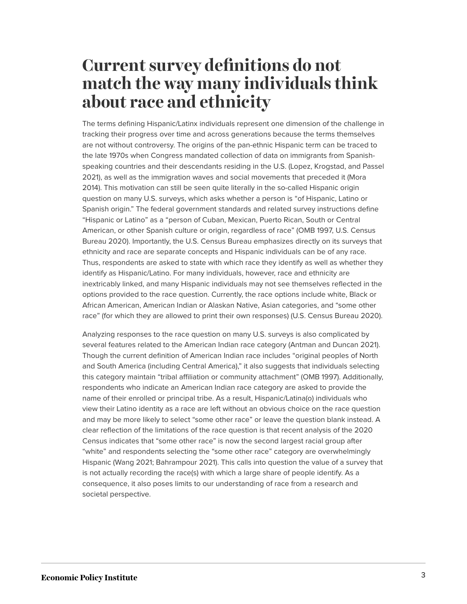### **Current survey definitions do not match the way many individuals think about race and ethnicity**

The terms defining Hispanic/Latinx individuals represent one dimension of the challenge in tracking their progress over time and across generations because the terms themselves are not without controversy. The origins of the pan-ethnic Hispanic term can be traced to the late 1970s when Congress mandated collection of data on immigrants from Spanishspeaking countries and their descendants residing in the U.S. (Lopez, Krogstad, and Passel 2021), as well as the immigration waves and social movements that preceded it (Mora 2014). This motivation can still be seen quite literally in the so-called Hispanic origin question on many U.S. surveys, which asks whether a person is "of Hispanic, Latino or Spanish origin." The federal government standards and related survey instructions define "Hispanic or Latino" as a "person of Cuban, Mexican, Puerto Rican, South or Central American, or other Spanish culture or origin, regardless of race" (OMB 1997, U.S. Census Bureau 2020). Importantly, the U.S. Census Bureau emphasizes directly on its surveys that ethnicity and race are separate concepts and Hispanic individuals can be of any race. Thus, respondents are asked to state with which race they identify as well as whether they identify as Hispanic/Latino. For many individuals, however, race and ethnicity are inextricably linked, and many Hispanic individuals may not see themselves reflected in the options provided to the race question. Currently, the race options include white, Black or African American, American Indian or Alaskan Native, Asian categories, and "some other race" (for which they are allowed to print their own responses) (U.S. Census Bureau 2020).

Analyzing responses to the race question on many U.S. surveys is also complicated by several features related to the American Indian race category (Antman and Duncan 2021). Though the current definition of American Indian race includes "original peoples of North and South America (including Central America)," it also suggests that individuals selecting this category maintain "tribal affiliation or community attachment" (OMB 1997). Additionally, respondents who indicate an American Indian race category are asked to provide the name of their enrolled or principal tribe. As a result, Hispanic/Latina(o) individuals who view their Latino identity as a race are left without an obvious choice on the race question and may be more likely to select "some other race" or leave the question blank instead. A clear reflection of the limitations of the race question is that recent analysis of the 2020 Census indicates that "some other race" is now the second largest racial group after "white" and respondents selecting the "some other race" category are overwhelmingly Hispanic (Wang 2021; Bahrampour 2021). This calls into question the value of a survey that is not actually recording the race(s) with which a large share of people identify. As a consequence, it also poses limits to our understanding of race from a research and societal perspective.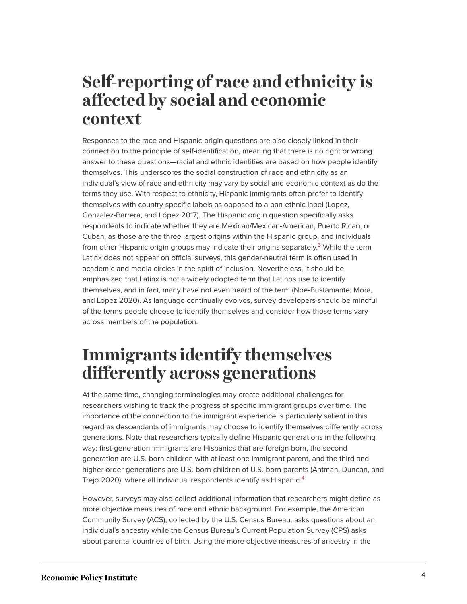#### **Self-reporting of race and ethnicity is affected by social and economic context**

Responses to the race and Hispanic origin questions are also closely linked in their connection to the principle of self-identification, meaning that there is no right or wrong answer to these questions—racial and ethnic identities are based on how people identify themselves. This underscores the social construction of race and ethnicity as an individual's view of race and ethnicity may vary by social and economic context as do the terms they use. With respect to ethnicity, Hispanic immigrants often prefer to identify themselves with country-specific labels as opposed to a pan-ethnic label (Lopez, Gonzalez-Barrera, and López 2017). The Hispanic origin question specifically asks respondents to indicate whether they are Mexican/Mexican-American, Puerto Rican, or Cuban, as those are the three largest origins within the Hispanic group, and individuals from other Hispanic origin groups may indicate their origins separately.<sup>[3](#page-8-2)</sup> While the term Latinx does not appear on official surveys, this gender-neutral term is often used in academic and media circles in the spirit of inclusion. Nevertheless, it should be emphasized that Latinx is not a widely adopted term that Latinos use to identify themselves, and in fact, many have not even heard of the term (Noe-Bustamante, Mora, and Lopez 2020). As language continually evolves, survey developers should be mindful of the terms people choose to identify themselves and consider how those terms vary across members of the population.

### <span id="page-3-0"></span>**Immigrants identify themselves differently across generations**

At the same time, changing terminologies may create additional challenges for researchers wishing to track the progress of specific immigrant groups over time. The importance of the connection to the immigrant experience is particularly salient in this regard as descendants of immigrants may choose to identify themselves differently across generations. Note that researchers typically define Hispanic generations in the following way: first-generation immigrants are Hispanics that are foreign born, the second generation are U.S.-born children with at least one immigrant parent, and the third and higher order generations are U.S.-born children of U.S.-born parents (Antman, Duncan, and Trejo 2020), where all individual respondents identify as Hispanic.<sup>[4](#page-8-3)</sup>

<span id="page-3-1"></span>However, surveys may also collect additional information that researchers might define as more objective measures of race and ethnic background. For example, the American Community Survey (ACS), collected by the U.S. Census Bureau, asks questions about an individual's ancestry while the Census Bureau's Current Population Survey (CPS) asks about parental countries of birth. Using the more objective measures of ancestry in the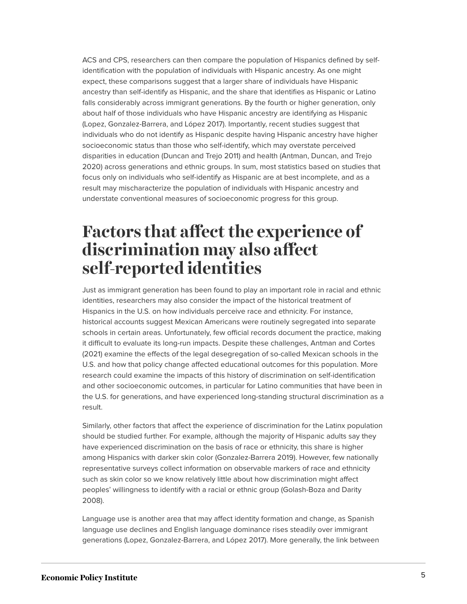ACS and CPS, researchers can then compare the population of Hispanics defined by selfidentification with the population of individuals with Hispanic ancestry. As one might expect, these comparisons suggest that a larger share of individuals have Hispanic ancestry than self-identify as Hispanic, and the share that identifies as Hispanic or Latino falls considerably across immigrant generations. By the fourth or higher generation, only about half of those individuals who have Hispanic ancestry are identifying as Hispanic (Lopez, Gonzalez-Barrera, and López 2017). Importantly, recent studies suggest that individuals who do not identify as Hispanic despite having Hispanic ancestry have higher socioeconomic status than those who self-identify, which may overstate perceived disparities in education (Duncan and Trejo 2011) and health (Antman, Duncan, and Trejo 2020) across generations and ethnic groups. In sum, most statistics based on studies that focus only on individuals who self-identify as Hispanic are at best incomplete, and as a result may mischaracterize the population of individuals with Hispanic ancestry and understate conventional measures of socioeconomic progress for this group.

#### **Factors that affect the experience of discrimination may also affect self-reported identities**

Just as immigrant generation has been found to play an important role in racial and ethnic identities, researchers may also consider the impact of the historical treatment of Hispanics in the U.S. on how individuals perceive race and ethnicity. For instance, historical accounts suggest Mexican Americans were routinely segregated into separate schools in certain areas. Unfortunately, few official records document the practice, making it difficult to evaluate its long-run impacts. Despite these challenges, Antman and Cortes (2021) examine the effects of the legal desegregation of so-called Mexican schools in the U.S. and how that policy change affected educational outcomes for this population. More research could examine the impacts of this history of discrimination on self-identification and other socioeconomic outcomes, in particular for Latino communities that have been in the U.S. for generations, and have experienced long-standing structural discrimination as a result.

Similarly, other factors that affect the experience of discrimination for the Latinx population should be studied further. For example, although the majority of Hispanic adults say they have experienced discrimination on the basis of race or ethnicity, this share is higher among Hispanics with darker skin color (Gonzalez-Barrera 2019). However, few nationally representative surveys collect information on observable markers of race and ethnicity such as skin color so we know relatively little about how discrimination might affect peoples' willingness to identify with a racial or ethnic group (Golash-Boza and Darity 2008).

Language use is another area that may affect identity formation and change, as Spanish language use declines and English language dominance rises steadily over immigrant generations (Lopez, Gonzalez-Barrera, and López 2017). More generally, the link between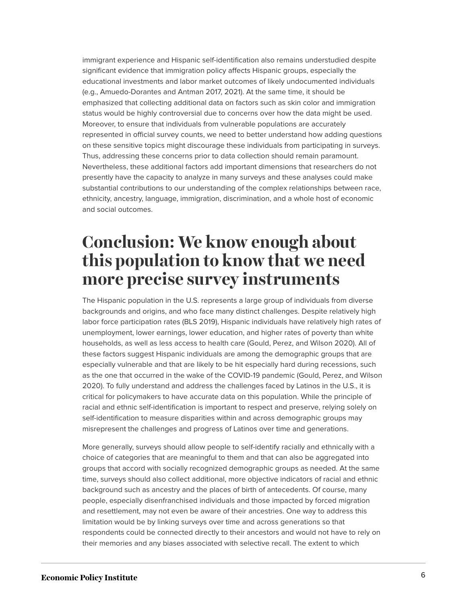immigrant experience and Hispanic self-identification also remains understudied despite significant evidence that immigration policy affects Hispanic groups, especially the educational investments and labor market outcomes of likely undocumented individuals (e.g., Amuedo-Dorantes and Antman 2017, 2021). At the same time, it should be emphasized that collecting additional data on factors such as skin color and immigration status would be highly controversial due to concerns over how the data might be used. Moreover, to ensure that individuals from vulnerable populations are accurately represented in official survey counts, we need to better understand how adding questions on these sensitive topics might discourage these individuals from participating in surveys. Thus, addressing these concerns prior to data collection should remain paramount. Nevertheless, these additional factors add important dimensions that researchers do not presently have the capacity to analyze in many surveys and these analyses could make substantial contributions to our understanding of the complex relationships between race, ethnicity, ancestry, language, immigration, discrimination, and a whole host of economic and social outcomes.

#### **Conclusion: We know enough about this population to know that we need more precise survey instruments**

The Hispanic population in the U.S. represents a large group of individuals from diverse backgrounds and origins, and who face many distinct challenges. Despite relatively high labor force participation rates (BLS 2019), Hispanic individuals have relatively high rates of unemployment, lower earnings, lower education, and higher rates of poverty than white households, as well as less access to health care (Gould, Perez, and Wilson 2020). All of these factors suggest Hispanic individuals are among the demographic groups that are especially vulnerable and that are likely to be hit especially hard during recessions, such as the one that occurred in the wake of the COVID-19 pandemic (Gould, Perez, and Wilson 2020). To fully understand and address the challenges faced by Latinos in the U.S., it is critical for policymakers to have accurate data on this population. While the principle of racial and ethnic self-identification is important to respect and preserve, relying solely on self-identification to measure disparities within and across demographic groups may misrepresent the challenges and progress of Latinos over time and generations.

More generally, surveys should allow people to self-identify racially and ethnically with a choice of categories that are meaningful to them and that can also be aggregated into groups that accord with socially recognized demographic groups as needed. At the same time, surveys should also collect additional, more objective indicators of racial and ethnic background such as ancestry and the places of birth of antecedents. Of course, many people, especially disenfranchised individuals and those impacted by forced migration and resettlement, may not even be aware of their ancestries. One way to address this limitation would be by linking surveys over time and across generations so that respondents could be connected directly to their ancestors and would not have to rely on their memories and any biases associated with selective recall. The extent to which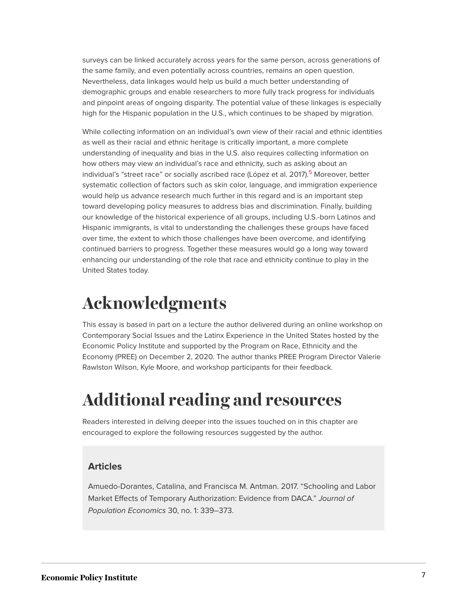surveys can be linked accurately across years for the same person, across generations of the same family, and even potentially across countries, remains an open question. Nevertheless, data linkages would help us build a much better understanding of demographic groups and enable researchers to more fully track progress for individuals and pinpoint areas of ongoing disparity. The potential value of these linkages is especially high for the Hispanic population in the U.S., which continues to be shaped by migration.

<span id="page-6-0"></span>While collecting information on an individual's own view of their racial and ethnic identities as well as their racial and ethnic heritage is critically important, a more complete understanding of inequality and bias in the U.S. also requires collecting information on how others may view an individual's race and ethnicity, such as asking about an individual's "street race" or socially ascribed race (López et al. 2017).<sup>[5](#page-9-0)</sup> Moreover, better systematic collection of factors such as skin color, language, and immigration experience would help us advance research much further in this regard and is an important step toward developing policy measures to address bias and discrimination. Finally, building our knowledge of the historical experience of all groups, including U.S.-born Latinos and Hispanic immigrants, is vital to understanding the challenges these groups have faced over time, the extent to which those challenges have been overcome, and identifying continued barriers to progress. Together these measures would go a long way toward enhancing our understanding of the role that race and ethnicity continue to play in the United States today.

### **Acknowledgments**

This essay is based in part on a lecture the author delivered during an online workshop on Contemporary Social Issues and the Latinx Experience in the United States hosted by the Economic Policy Institute and supported by the Program on Race, Ethnicity and the Economy (PREE) on December 2, 2020. The author thanks PREE Program Director Valerie Rawlston Wilson, Kyle Moore, and workshop participants for their feedback.

### **Additional reading and resources**

Readers interested in delving deeper into the issues touched on in this chapter are encouraged to explore the following resources suggested by the author.

#### **Articles**

Amuedo-Dorantes, Catalina, and Francisca M. Antman. 2017. "Schooling and Labor Market Effects of Temporary Authorization: Evidence from DACA." *Journal of Population Economics* 30, no. 1: 339–373.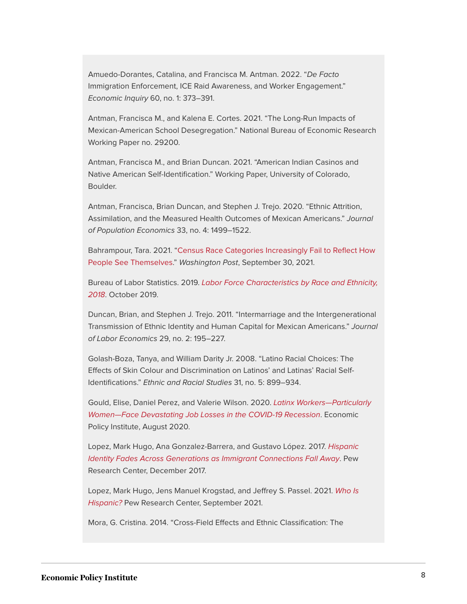Amuedo-Dorantes, Catalina, and Francisca M. Antman. 2022. "*De Facto* Immigration Enforcement, ICE Raid Awareness, and Worker Engagement." *Economic Inquiry* 60, no. 1: 373–391.

Antman, Francisca M., and Kalena E. Cortes. 2021. "The Long-Run Impacts of Mexican-American School Desegregation." National Bureau of Economic Research Working Paper no. 29200.

Antman, Francisca M., and Brian Duncan. 2021. "American Indian Casinos and Native American Self-Identification." Working Paper, University of Colorado, Boulder.

Antman, Francisca, Brian Duncan, and Stephen J. Trejo. 2020. "Ethnic Attrition, Assimilation, and the Measured Health Outcomes of Mexican Americans." *Journal of Population Economics* 33, no. 4: 1499–1522.

Bahrampour, Tara. 2021. "[Census Race Categories Increasingly Fail to Reflect How](https://www.washingtonpost.com/dc-md-va/2021/09/30/census-2020-race-ethnicity-categories/) [People See Themselves](https://www.washingtonpost.com/dc-md-va/2021/09/30/census-2020-race-ethnicity-categories/)." *Washington Post*, September 30, 2021.

Bureau of Labor Statistics. 2019. *[Labor Force Characteristics by Race and Ethnicity,](https://www.bls.gov/opub/reports/race-and-ethnicity/2018/) [2018](https://www.bls.gov/opub/reports/race-and-ethnicity/2018/)*. October 2019.

Duncan, Brian, and Stephen J. Trejo. 2011. "Intermarriage and the Intergenerational Transmission of Ethnic Identity and Human Capital for Mexican Americans." *Journal of Labor Economics* 29, no. 2: 195–227.

Golash-Boza, Tanya, and William Darity Jr. 2008. "Latino Racial Choices: The Effects of Skin Colour and Discrimination on Latinos' and Latinas' Racial Self-Identifications." *Ethnic and Racial Studies* 31, no. 5: 899–934.

Gould, Elise, Daniel Perez, and Valerie Wilson. 2020. *[Latinx Workers—Particularly](https://www.epi.org/publication/latinx-workers-covid/) [Women—Face Devastating Job Losses in the COVID-19 Recession](https://www.epi.org/publication/latinx-workers-covid/)*. Economic Policy Institute, August 2020.

Lopez, Mark Hugo, Ana Gonzalez-Barrera, and Gustavo López. 2017. *[Hispanic](https://www.pewresearch.org/hispanic/2017/12/20/hispanic-identity-fades-across-generations-as-immigrant-connections-fall-away/) [Identity Fades Across Generations as Immigrant Connections Fall Away](https://www.pewresearch.org/hispanic/2017/12/20/hispanic-identity-fades-across-generations-as-immigrant-connections-fall-away/)*. Pew Research Center, December 2017.

Lopez, Mark Hugo, Jens Manuel Krogstad, and Jeffrey S. Passel. 2021. *[Who Is](https://www.pewresearch.org/fact-tank/2021/09/23/who-is-hispanic/) [Hispanic?](https://www.pewresearch.org/fact-tank/2021/09/23/who-is-hispanic/)* Pew Research Center, September 2021.

Mora, G. Cristina. 2014. "Cross-Field Effects and Ethnic Classification: The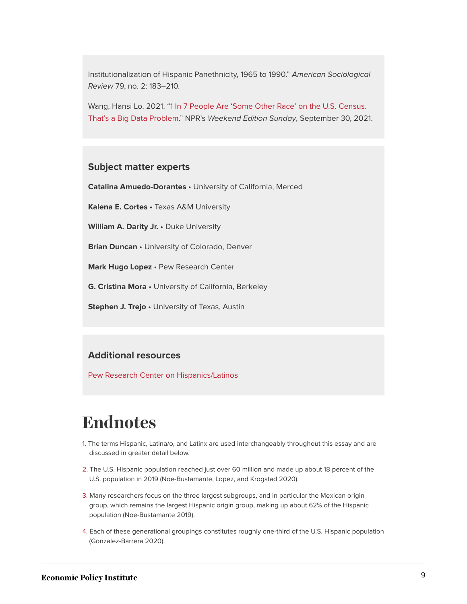Institutionalization of Hispanic Panethnicity, 1965 to 1990." *American Sociological Review* 79, no. 2: 183–210.

Wang, Hansi Lo. 2021. ["1 In 7 People Are 'Some Other Race' on the U.S. Census.](https://www.npr.org/2021/09/30/1037352177/2020-census-results-by-race-some-other-latino-ethnicity-hispanic) [That's a Big Data Problem](https://www.npr.org/2021/09/30/1037352177/2020-census-results-by-race-some-other-latino-ethnicity-hispanic)." NPR's *Weekend Edition Sunday*, September 30, 2021.

#### **Subject matter experts**

**Catalina Amuedo-Dorantes** • University of California, Merced

**Kalena E. Cortes •** Texas A&M University

**William A. Darity Jr.** • Duke University

**Brian Duncan** • University of Colorado, Denver

**Mark Hugo Lopez** • Pew Research Center

**G. Cristina Mora** • University of California, Berkeley

**Stephen J. Trejo** • University of Texas, Austin

#### **Additional resources**

[Pew Research Center on Hispanics/Latinos](https://www.pewresearch.org/topic/race-ethnicity/racial-ethnic-groups/hispanics-latinos/)

#### **Endnotes**

- <span id="page-8-0"></span>[1.](#page-1-0) The terms Hispanic, Latina/o, and Latinx are used interchangeably throughout this essay and are discussed in greater detail below.
- <span id="page-8-1"></span>[2.](#page-1-1) The U.S. Hispanic population reached just over 60 million and made up about 18 percent of the U.S. population in 2019 (Noe-Bustamante, Lopez, and Krogstad 2020).
- <span id="page-8-2"></span>[3.](#page-3-0) Many researchers focus on the three largest subgroups, and in particular the Mexican origin group, which remains the largest Hispanic origin group, making up about 62% of the Hispanic population (Noe-Bustamante 2019).
- <span id="page-8-3"></span>[4.](#page-3-1) Each of these generational groupings constitutes roughly one-third of the U.S. Hispanic population (Gonzalez-Barrera 2020).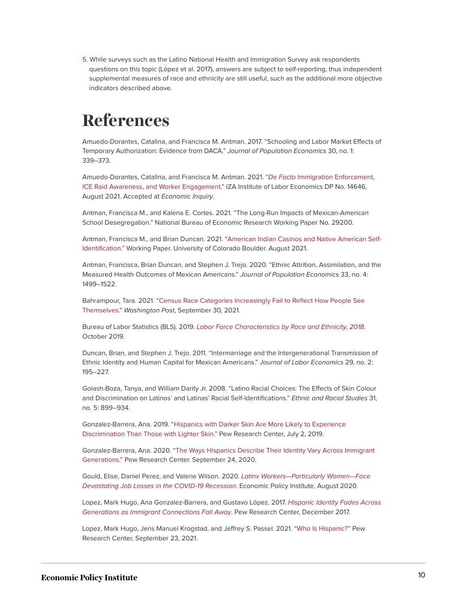<span id="page-9-0"></span>[5.](#page-6-0) While surveys such as the Latino National Health and Immigration Survey ask respondents questions on this topic (López et al. 2017), answers are subject to self-reporting, thus independent supplemental measures of race and ethnicity are still useful, such as the additional more objective indicators described above.

### **References**

Amuedo-Dorantes, Catalina, and Francisca M. Antman. 2017. "Schooling and Labor Market Effects of Temporary Authorization: Evidence from DACA." *Journal of Population Economics* 30, no. 1: 339–373.

Amuedo-Dorantes, Catalina, and Francisca M. Antman. 2021. "*De Facto* [Immigration Enforcement,](https://www.iza.org/publications/dp/14646/de-facto-immigration-enforcement-ice-raid-awareness-and-worker-engagement) [ICE Raid Awareness, and Worker Engagement](https://www.iza.org/publications/dp/14646/de-facto-immigration-enforcement-ice-raid-awareness-and-worker-engagement)." IZA Institute of Labor Economics DP No. 14646, August 2021. Accepted at *Economic Inquiry*.

Antman, Francisca M., and Kalena E. Cortes. 2021. "The Long-Run Impacts of Mexican-American School Desegregation." National Bureau of Economic Research Working Paper No. 29200.

Antman, Francisca M., and Brian Duncan. 2021. ["American Indian Casinos and Native American Self-](https://spot.colorado.edu/~antmanf/Antman&Duncan_NativeAmericanIdentity&Casinos.pdf)[Identification."](https://spot.colorado.edu/~antmanf/Antman&Duncan_NativeAmericanIdentity&Casinos.pdf) Working Paper. University of Colorado Boulder. August 2021.

Antman, Francisca, Brian Duncan, and Stephen J. Trejo. 2020. "Ethnic Attrition, Assimilation, and the Measured Health Outcomes of Mexican Americans." *Journal of Population Economics* 33, no. 4: 1499–1522.

Bahrampour, Tara. 2021. ["Census Race Categories Increasingly Fail to Reflect How People See](https://www.washingtonpost.com/dc-md-va/2021/09/30/census-2020-race-ethnicity-categories/) [Themselves](https://www.washingtonpost.com/dc-md-va/2021/09/30/census-2020-race-ethnicity-categories/)." *Washington Post*, September 30, 2021.

Bureau of Labor Statistics (BLS). 2019. *[Labor Force Characteristics by Race and Ethnicity, 2018](https://www.bls.gov/opub/reports/race-and-ethnicity/2018/).* October 2019.

Duncan, Brian, and Stephen J. Trejo. 2011. "Intermarriage and the Intergenerational Transmission of Ethnic Identity and Human Capital for Mexican Americans." *Journal of Labor Economics* 29, no. 2: 195–227.

Golash-Boza, Tanya, and William Darity Jr. 2008. "Latino Racial Choices: The Effects of Skin Colour and Discrimination on Latinos' and Latinas' Racial Self-Identifications." *Ethnic and Racial Studies* 31, no. 5: 899–934.

Gonzalez-Barrera, Ana. 2019. "[Hispanics with Darker Skin Are More Likely to Experience](https://www.pewresearch.org/fact-tank/2019/07/02/hispanics-with-darker-skin-are-more-likely-to-experience-discrimination-than-those-with-lighter-skin/) [Discrimination Than Those with Lighter Skin](https://www.pewresearch.org/fact-tank/2019/07/02/hispanics-with-darker-skin-are-more-likely-to-experience-discrimination-than-those-with-lighter-skin/)." Pew Research Center, July 2, 2019.

Gonzalez-Barrera, Ana. 2020. ["The Ways Hispanics Describe Their Identity Vary Across Immigrant](https://www.pewresearch.org/fact-tank/2020/09/24/the-ways-hispanics-describe-their-identity-vary-across-immigrant-generations/) [Generations](https://www.pewresearch.org/fact-tank/2020/09/24/the-ways-hispanics-describe-their-identity-vary-across-immigrant-generations/)." Pew Research Center. September 24, 2020.

Gould, Elise, Daniel Perez, and Valerie Wilson. 2020. *[Latinx Workers—Particularly Women—Face](https://www.epi.org/publication/latinx-workers-covid/) [Devastating Job Losses in the COVID-19 Recession](https://www.epi.org/publication/latinx-workers-covid/)*. Economic Policy Institute, August 2020.

Lopez, Mark Hugo, Ana Gonzalez-Barrera, and Gustavo López. 2017. *[Hispanic Identity Fades Across](https://www.pewresearch.org/hispanic/2017/12/20/hispanic-identity-fades-across-generations-as-immigrant-connections-fall-away/) [Generations as Immigrant Connections Fall Away](https://www.pewresearch.org/hispanic/2017/12/20/hispanic-identity-fades-across-generations-as-immigrant-connections-fall-away/)*. Pew Research Center, December 2017.

Lopez, Mark Hugo, Jens Manuel Krogstad, and Jeffrey S. Passel. 2021. ["Who Is Hispanic?](https://www.pewresearch.org/fact-tank/2021/09/23/who-is-hispanic/)" Pew Research Center, September 23, 2021.